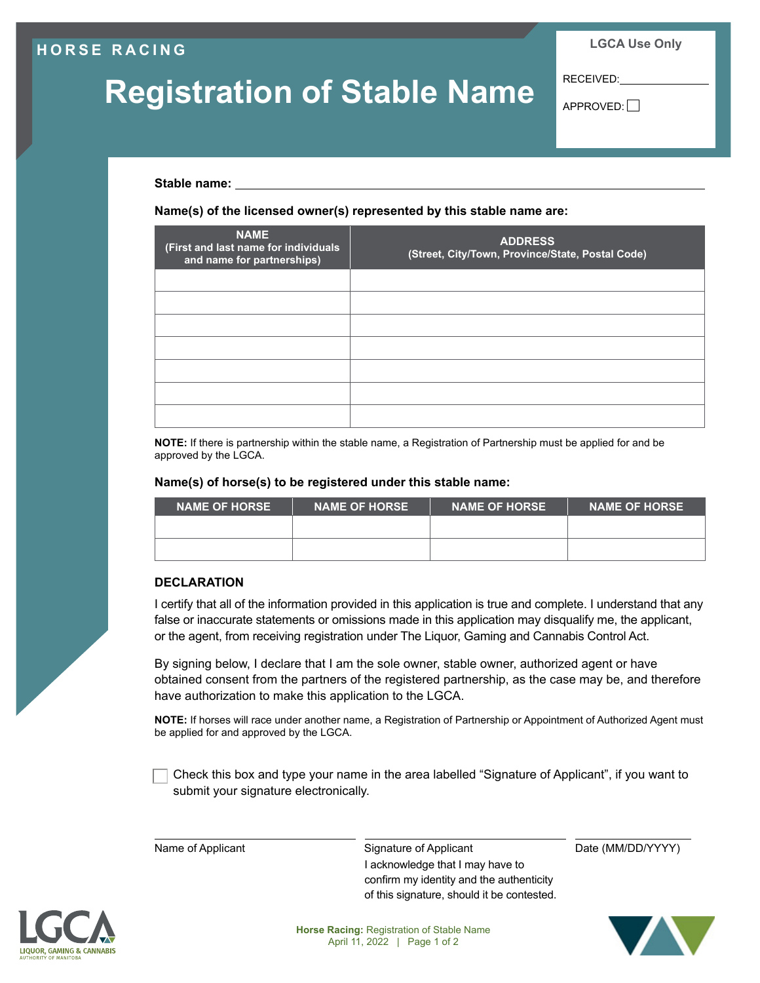### **HORSE RACING**

**LGCA Use Only**

# **Registration of Stable Name**

RECEIVED:

 $APPROVED:$ 

**Stable name:** 

**Name(s) of the licensed owner(s) represented by this stable name are:**

| <b>NAME</b><br>(First and last name for individuals<br>and name for partnerships) | <b>ADDRESS</b><br>(Street, City/Town, Province/State, Postal Code) |
|-----------------------------------------------------------------------------------|--------------------------------------------------------------------|
|                                                                                   |                                                                    |
|                                                                                   |                                                                    |
|                                                                                   |                                                                    |
|                                                                                   |                                                                    |
|                                                                                   |                                                                    |
|                                                                                   |                                                                    |
|                                                                                   |                                                                    |

**NOTE:** If there is partnership within the stable name, a Registration of Partnership must be applied for and be approved by the LGCA.

#### **Name(s) of horse(s) to be registered under this stable name:**

| <b>NAME OF HORSE</b> | <b>NAME OF HORSE</b> | <b>NAME OF HORSE</b> | <b>NAME OF HORSE</b> |
|----------------------|----------------------|----------------------|----------------------|
|                      |                      |                      |                      |
|                      |                      |                      |                      |

#### **DECLARATION**

I certify that all of the information provided in this application is true and complete. I understand that any false or inaccurate statements or omissions made in this application may disqualify me, the applicant, or the agent, from receiving registration under The Liquor, Gaming and Cannabis Control Act.

By signing below, I declare that I am the sole owner, stable owner, authorized agent or have obtained consent from the partners of the registered partnership, as the case may be, and therefore have authorization to make this application to the LGCA.

**NOTE:** If horses will race under another name, a Registration of Partnership or Appointment of Authorized Agent must be applied for and approved by the LGCA.

 Check this box and type your name in the area labelled "Signature of Applicant", if you want to submit your signature electronically.

Name of Applicant Signature of Applicant Date (MM/DD/YYYY) I acknowledge that I may have to confirm my identity and the authenticity of this signature, should it be contested.



**Horse Racing:** Registration of Stable Name April 11, 2022 | Page 1 of 2